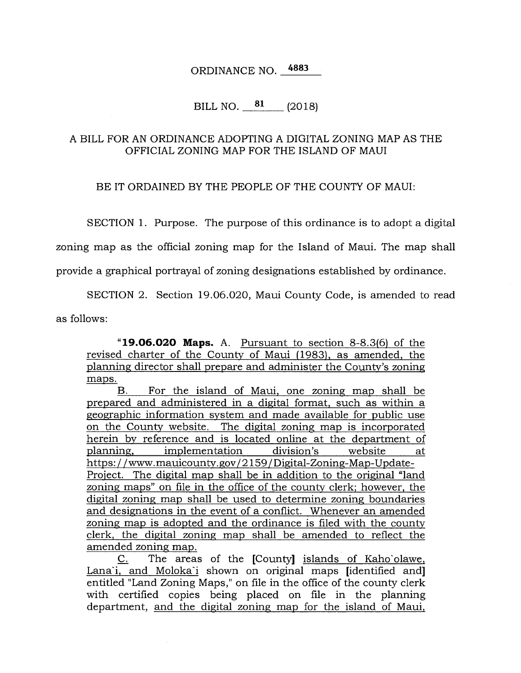ORDINANCE NO. 4883

## BILL NO. **81** (2018)

## A BILL FOR AN ORDINANCE ADOPTING A DIGITAL ZONING MAP AS THE OFFICIAL ZONING MAP FOR THE ISLAND OF MAUI

BE IT ORDAINED BY THE PEOPLE OF THE COUNTY OF MAUI:

SECTION 1. Purpose. The purpose of this ordinance is to adopt a digital

zoning map as the official zoning map for the Island of Maui. The map shall

provide a graphical portrayal of zoning designations established by ordinance.

SECTION 2. Section 19.06.020, Maui County Code, is amended to read as follows:

**"19.06.020 Maps.** A. Pursuant to section 8-8.3(6) of the revised charter of the County of Maui (1983), as amended, the planning director shall prepare and administer the County's zoning maps.

B. For the island of Maui, one zoning map shall be prepared and administered in a digital format, such as within a geographic information system and made available for public use on the County website. The digital zoning map is incorporated herein by reference and is located online at the department of planning, implementation division's website at https: / / www.mauicounty.gov/ 2159 / Digital-Zoning-Map-Update-Project. The digital map shall be in addition to the original "land zoning maps" on file in the office of the county clerk; however, the digital zoning map shall be used to determine zoning boundaries and designations in the event of a conflict. Whenever an amended zoning map is adopted and the ordinance is filed with the county clerk, the digital zoning map shall be amended to reflect the amended zoning map.

C. The areas of the [County] islands of Kaho'olawe, Lanai, and Molokai shown on original maps [identified and] entitled "Land Zoning Maps," on file in the office of the county clerk with certified copies being placed on file in the planning department, and the digital zoning map for the island of Maui,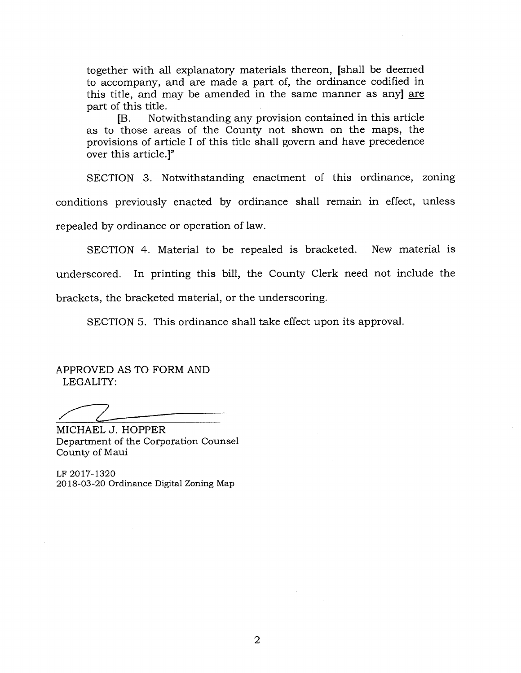together with all explanatory materials thereon, [shall be deemed to accompany, and are made a part of, the ordinance codified in this title, and may be amended in the same manner as any] are part of this title.

[B. Notwithstanding any provision contained in this article as to those areas of the County not shown on the maps, the provisions of article I of this title shall govern and have precedence over this article.]"

SECTION 3. Notwithstanding enactment of this ordinance, zoning conditions previously enacted by ordinance shall remain in effect, unless repealed by ordinance or operation of law.

SECTION 4. Material to be repealed is bracketed. New material is underscored. In printing this bill, the County Clerk need not include the brackets, the bracketed material, or the underscoring.

SECTION 5. This ordinance shall take effect upon its approval.

APPROVED AS TO FORM AND LEGALITY:

MICHAEL J. HOPPER Department of the Corporation Counsel County of Maui

LF 2017-1320 2018-03-20 Ordinance Digital Zoning Map